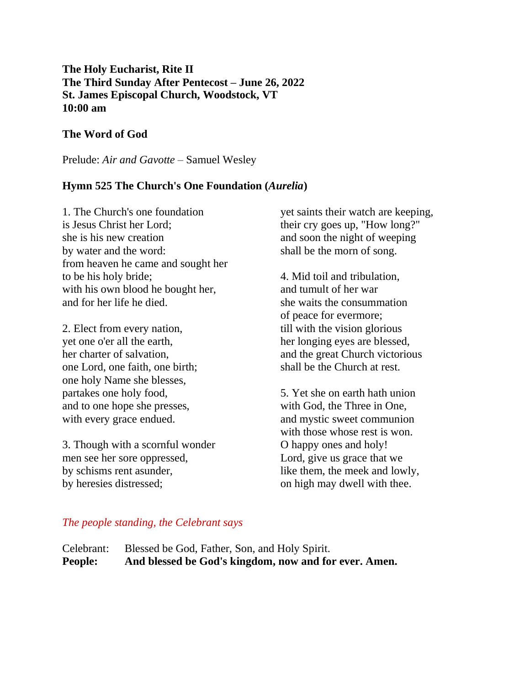# **The Holy Eucharist, Rite II The Third Sunday After Pentecost – June 26, 2022 St. James Episcopal Church, Woodstock, VT 10:00 am**

### **The Word of God**

Prelude: *Air and Gavotte –* Samuel Wesley

#### **Hymn 525 The Church's One Foundation (***Aurelia***)**

1. The Church's one foundation is Jesus Christ her Lord; she is his new creation by water and the word: from heaven he came and sought her to be his holy bride; with his own blood he bought her, and for her life he died.

2. Elect from every nation, yet one o'er all the earth, her charter of salvation, one Lord, one faith, one birth; one holy Name she blesses, partakes one holy food, and to one hope she presses, with every grace endued.

3. Though with a scornful wonder men see her sore oppressed, by schisms rent asunder, by heresies distressed;

yet saints their watch are keeping, their cry goes up, "How long?" and soon the night of weeping shall be the morn of song.

4. Mid toil and tribulation, and tumult of her war she waits the consummation of peace for evermore; till with the vision glorious her longing eyes are blessed, and the great Church victorious shall be the Church at rest.

5. Yet she on earth hath union with God, the Three in One, and mystic sweet communion with those whose rest is won. O happy ones and holy! Lord, give us grace that we like them, the meek and lowly, on high may dwell with thee.

#### *The people standing, the Celebrant says*

| People:    | And blessed be God's kingdom, now and for ever. Amen. |
|------------|-------------------------------------------------------|
| Celebrant: | Blessed be God, Father, Son, and Holy Spirit.         |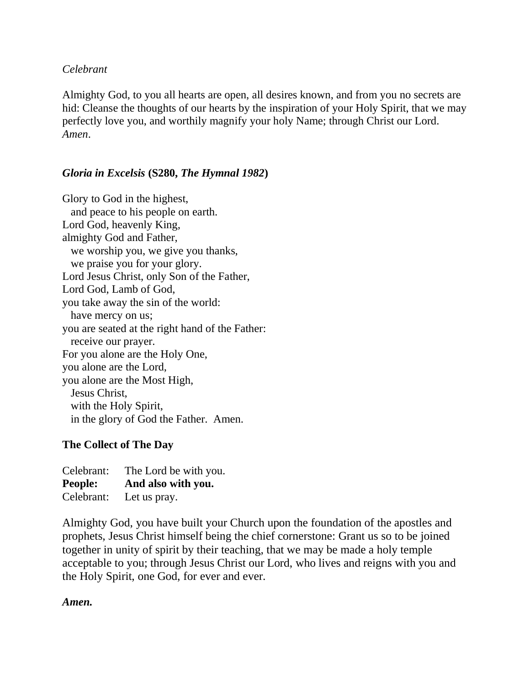*Celebrant*

Almighty God, to you all hearts are open, all desires known, and from you no secrets are hid: Cleanse the thoughts of our hearts by the inspiration of your Holy Spirit, that we may perfectly love you, and worthily magnify your holy Name; through Christ our Lord. *Amen*.

## *Gloria in Excelsis* **(S280,** *The Hymnal 1982***)**

Glory to God in the highest, and peace to his people on earth. Lord God, heavenly King, almighty God and Father, we worship you, we give you thanks, we praise you for your glory. Lord Jesus Christ, only Son of the Father, Lord God, Lamb of God, you take away the sin of the world: have mercy on us; you are seated at the right hand of the Father: receive our prayer. For you alone are the Holy One, you alone are the Lord, you alone are the Most High, Jesus Christ, with the Holy Spirit, in the glory of God the Father. Amen.

#### **The Collect of The Day**

Celebrant: The Lord be with you. **People: And also with you.** Celebrant: Let us pray.

Almighty God, you have built your Church upon the foundation of the apostles and prophets, Jesus Christ himself being the chief cornerstone: Grant us so to be joined together in unity of spirit by their teaching, that we may be made a holy temple acceptable to you; through Jesus Christ our Lord, who lives and reigns with you and the Holy Spirit, one God, for ever and ever.

*Amen.*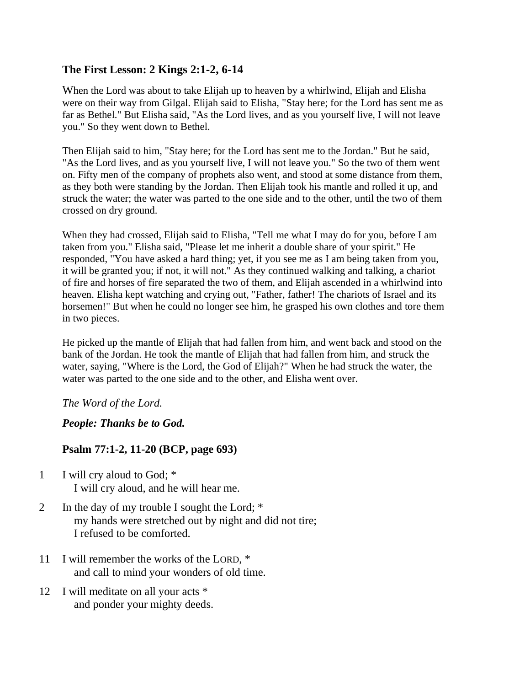# **The First Lesson: 2 Kings 2:1-2, 6-14**

When the Lord was about to take Elijah up to heaven by a whirlwind, Elijah and Elisha were on their way from Gilgal. Elijah said to Elisha, "Stay here; for the Lord has sent me as far as Bethel." But Elisha said, "As the Lord lives, and as you yourself live, I will not leave you." So they went down to Bethel.

Then Elijah said to him, "Stay here; for the Lord has sent me to the Jordan." But he said, "As the Lord lives, and as you yourself live, I will not leave you." So the two of them went on. Fifty men of the company of prophets also went, and stood at some distance from them, as they both were standing by the Jordan. Then Elijah took his mantle and rolled it up, and struck the water; the water was parted to the one side and to the other, until the two of them crossed on dry ground.

When they had crossed, Elijah said to Elisha, "Tell me what I may do for you, before I am taken from you." Elisha said, "Please let me inherit a double share of your spirit." He responded, "You have asked a hard thing; yet, if you see me as I am being taken from you, it will be granted you; if not, it will not." As they continued walking and talking, a chariot of fire and horses of fire separated the two of them, and Elijah ascended in a whirlwind into heaven. Elisha kept watching and crying out, "Father, father! The chariots of Israel and its horsemen!" But when he could no longer see him, he grasped his own clothes and tore them in two pieces.

He picked up the mantle of Elijah that had fallen from him, and went back and stood on the bank of the Jordan. He took the mantle of Elijah that had fallen from him, and struck the water, saying, "Where is the Lord, the God of Elijah?" When he had struck the water, the water was parted to the one side and to the other, and Elisha went over.

## *The Word of the Lord.*

## *People: Thanks be to God.*

## **Psalm 77:1-2, 11-20 (BCP, page 693)**

- 1 I will cry aloud to God; \* I will cry aloud, and he will hear me.
- 2 In the day of my trouble I sought the Lord; \* my hands were stretched out by night and did not tire; I refused to be comforted.
- 11 I will remember the works of the LORD, \* and call to mind your wonders of old time.
- 12 I will meditate on all your acts \* and ponder your mighty deeds.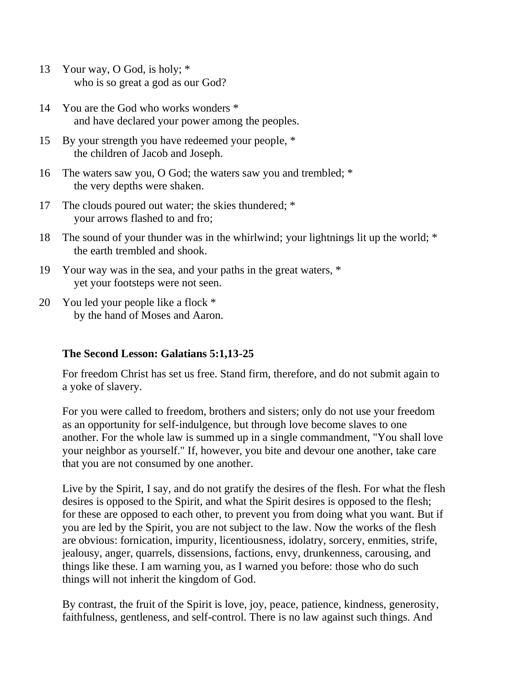- 13 Your way, O God, is holy; \* who is so great a god as our God?
- 14 You are the God who works wonders \* and have declared your power among the peoples.
- 15 By your strength you have redeemed your people, \* the children of Jacob and Joseph.
- 16 The waters saw you, O God; the waters saw you and trembled; \* the very depths were shaken.
- 17 The clouds poured out water; the skies thundered; \* your arrows flashed to and fro;
- 18 The sound of your thunder was in the whirlwind; your lightnings lit up the world; \* the earth trembled and shook.
- 19 Your way was in the sea, and your paths in the great waters, \* yet your footsteps were not seen.
- 20 You led your people like a flock \* by the hand of Moses and Aaron.

## **The Second Lesson: Galatians 5:1,13-25**

For freedom Christ has set us free. Stand firm, therefore, and do not submit again to a yoke of slavery.

For you were called to freedom, brothers and sisters; only do not use your freedom as an opportunity for self-indulgence, but through love become slaves to one another. For the whole law is summed up in a single commandment, "You shall love your neighbor as yourself." If, however, you bite and devour one another, take care that you are not consumed by one another.

Live by the Spirit, I say, and do not gratify the desires of the flesh. For what the flesh desires is opposed to the Spirit, and what the Spirit desires is opposed to the flesh; for these are opposed to each other, to prevent you from doing what you want. But if you are led by the Spirit, you are not subject to the law. Now the works of the flesh are obvious: fornication, impurity, licentiousness, idolatry, sorcery, enmities, strife, jealousy, anger, quarrels, dissensions, factions, envy, drunkenness, carousing, and things like these. I am warning you, as I warned you before: those who do such things will not inherit the kingdom of God.

By contrast, the fruit of the Spirit is love, joy, peace, patience, kindness, generosity, faithfulness, gentleness, and self-control. There is no law against such things. And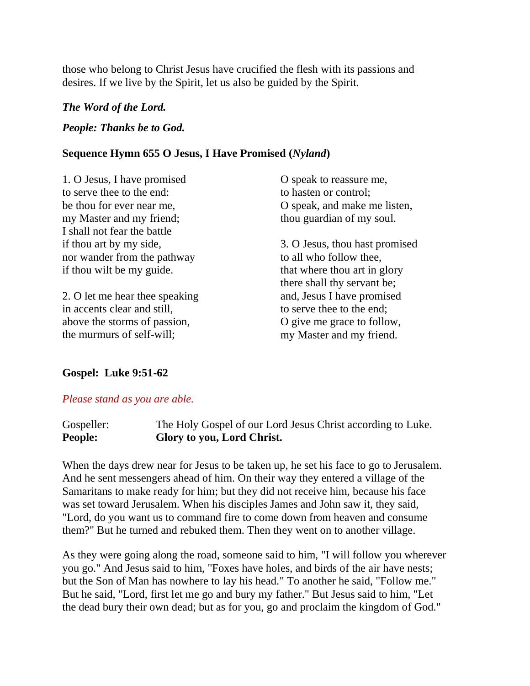those who belong to Christ Jesus have crucified the flesh with its passions and desires. If we live by the Spirit, let us also be guided by the Spirit.

#### *The Word of the Lord.*

#### *People: Thanks be to God.*

#### **Sequence Hymn 655 O Jesus, I Have Promised (***Nyland***)**

1. O Jesus, I have promised to serve thee to the end: be thou for ever near me, my Master and my friend; I shall not fear the battle if thou art by my side, nor wander from the pathway if thou wilt be my guide.

2. O let me hear thee speaking in accents clear and still, above the storms of passion, the murmurs of self-will;

O speak to reassure me, to hasten or control; O speak, and make me listen, thou guardian of my soul.

3. O Jesus, thou hast promised to all who follow thee, that where thou art in glory there shall thy servant be; and, Jesus I have promised to serve thee to the end; O give me grace to follow, my Master and my friend.

#### **Gospel: Luke 9:51-62**

#### *Please stand as you are able.*

| Gospeller:     | The Holy Gospel of our Lord Jesus Christ according to Luke. |
|----------------|-------------------------------------------------------------|
| <b>People:</b> | Glory to you, Lord Christ.                                  |

When the days drew near for Jesus to be taken up, he set his face to go to Jerusalem. And he sent messengers ahead of him. On their way they entered a village of the Samaritans to make ready for him; but they did not receive him, because his face was set toward Jerusalem. When his disciples James and John saw it, they said, "Lord, do you want us to command fire to come down from heaven and consume them?" But he turned and rebuked them. Then they went on to another village.

As they were going along the road, someone said to him, "I will follow you wherever you go." And Jesus said to him, "Foxes have holes, and birds of the air have nests; but the Son of Man has nowhere to lay his head." To another he said, "Follow me." But he said, "Lord, first let me go and bury my father." But Jesus said to him, "Let the dead bury their own dead; but as for you, go and proclaim the kingdom of God."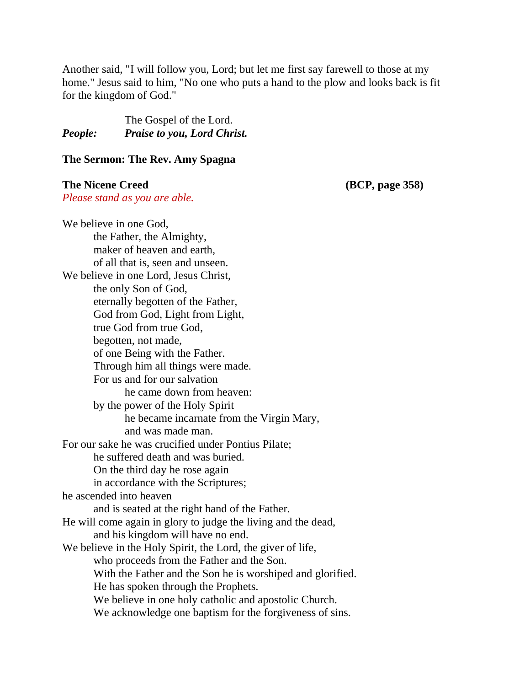Another said, "I will follow you, Lord; but let me first say farewell to those at my home." Jesus said to him, "No one who puts a hand to the plow and looks back is fit for the kingdom of God."

|         | The Gospel of the Lord.            |
|---------|------------------------------------|
| People: | <b>Praise to you, Lord Christ.</b> |

#### **The Sermon: The Rev. Amy Spagna**

#### **The Nicene Creed (BCP, page 358)**

*Please stand as you are able.*

We believe in one God, the Father, the Almighty, maker of heaven and earth, of all that is, seen and unseen. We believe in one Lord, Jesus Christ, the only Son of God, eternally begotten of the Father, God from God, Light from Light, true God from true God, begotten, not made, of one Being with the Father. Through him all things were made. For us and for our salvation he came down from heaven: by the power of the Holy Spirit he became incarnate from the Virgin Mary, and was made man. For our sake he was crucified under Pontius Pilate; he suffered death and was buried. On the third day he rose again in accordance with the Scriptures; he ascended into heaven and is seated at the right hand of the Father. He will come again in glory to judge the living and the dead, and his kingdom will have no end. We believe in the Holy Spirit, the Lord, the giver of life, who proceeds from the Father and the Son. With the Father and the Son he is worshiped and glorified. He has spoken through the Prophets. We believe in one holy catholic and apostolic Church. We acknowledge one baptism for the forgiveness of sins.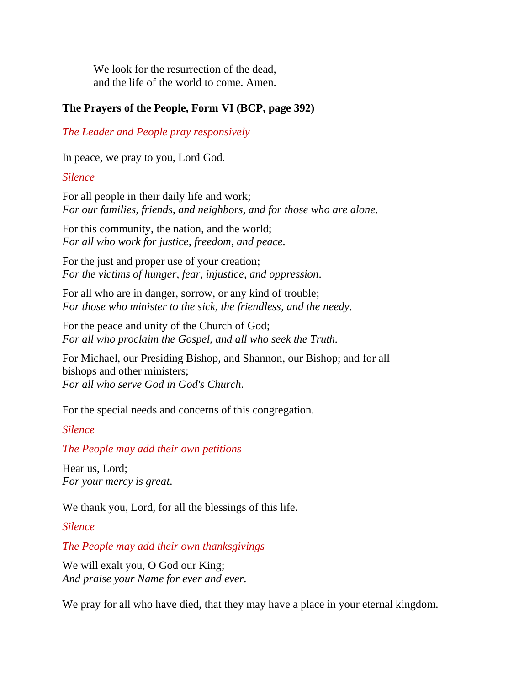We look for the resurrection of the dead. and the life of the world to come. Amen.

#### **The Prayers of the People, Form VI (BCP, page 392)**

*The Leader and People pray responsively*

In peace, we pray to you, Lord God.

#### *Silence*

For all people in their daily life and work; *For our families, friends, and neighbors, and for those who are alone*.

For this community, the nation, and the world; *For all who work for justice, freedom, and peace.*

For the just and proper use of your creation; *For the victims of hunger, fear, injustice, and oppression*.

For all who are in danger, sorrow, or any kind of trouble; *For those who minister to the sick, the friendless, and the needy*.

For the peace and unity of the Church of God; *For all who proclaim the Gospel, and all who seek the Truth.*

For Michael, our Presiding Bishop, and Shannon, our Bishop; and for all bishops and other ministers; *For all who serve God in God's Church*.

For the special needs and concerns of this congregation.

*Silence*

*The People may add their own petitions*

Hear us, Lord; *For your mercy is great*.

We thank you, Lord, for all the blessings of this life.

*Silence*

*The People may add their own thanksgivings*

We will exalt you, O God our King; *And praise your Name for ever and ever*.

We pray for all who have died, that they may have a place in your eternal kingdom.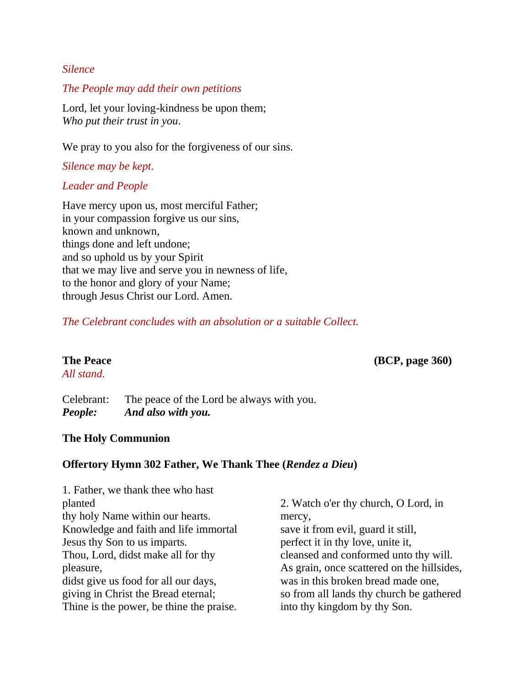#### *Silence*

#### *The People may add their own petitions*

Lord, let your loving-kindness be upon them; *Who put their trust in you*.

We pray to you also for the forgiveness of our sins.

#### *Silence may be kept*.

## *Leader and People*

Have mercy upon us, most merciful Father; in your compassion forgive us our sins, known and unknown, things done and left undone; and so uphold us by your Spirit that we may live and serve you in newness of life, to the honor and glory of your Name; through Jesus Christ our Lord. Amen.

## *The Celebrant concludes with an absolution or a suitable Collect.*

*All stand.*

**The Peace (BCP, page 360)** 

| <b>People:</b> | And also with you.                        |
|----------------|-------------------------------------------|
| Celebrant:     | The peace of the Lord be always with you. |

## **The Holy Communion**

## **Offertory Hymn 302 Father, We Thank Thee (***Rendez a Dieu***)**

| 1. Father, we thank thee who hast        |                                            |
|------------------------------------------|--------------------------------------------|
| planted                                  | 2. Watch o'er thy church, O Lord, in       |
| thy holy Name within our hearts.         | mercy,                                     |
| Knowledge and faith and life immortal    | save it from evil, guard it still,         |
| Jesus thy Son to us imparts.             | perfect it in thy love, unite it,          |
| Thou, Lord, didst make all for thy       | cleansed and conformed unto thy will.      |
| pleasure,                                | As grain, once scattered on the hillsides, |
| didst give us food for all our days,     | was in this broken bread made one,         |
| giving in Christ the Bread eternal;      | so from all lands thy church be gathered   |
| Thine is the power, be thine the praise. | into thy kingdom by thy Son.               |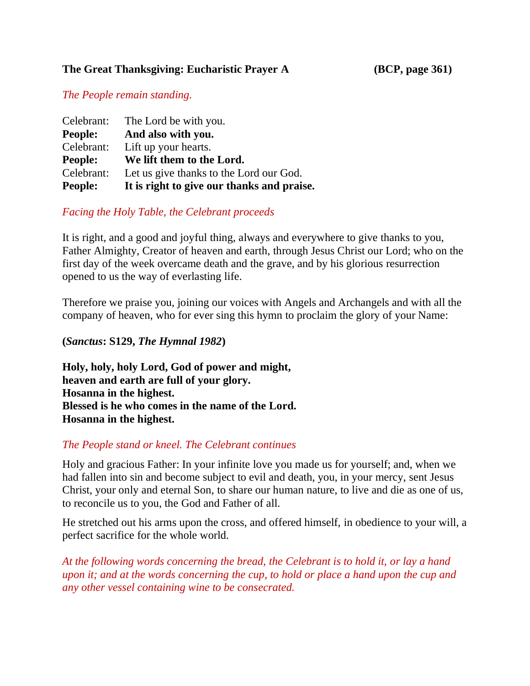# **The Great Thanksgiving: Eucharistic Prayer A (BCP, page 361)**

### *The People remain standing.*

|                | Celebrant: The Lord be with you.           |
|----------------|--------------------------------------------|
| <b>People:</b> | And also with you.                         |
| Celebrant:     | Lift up your hearts.                       |
| <b>People:</b> | We lift them to the Lord.                  |
| Celebrant:     | Let us give thanks to the Lord our God.    |
| People:        | It is right to give our thanks and praise. |

## *Facing the Holy Table, the Celebrant proceeds*

It is right, and a good and joyful thing, always and everywhere to give thanks to you, Father Almighty, Creator of heaven and earth, through Jesus Christ our Lord; who on the first day of the week overcame death and the grave, and by his glorious resurrection opened to us the way of everlasting life.

Therefore we praise you, joining our voices with Angels and Archangels and with all the company of heaven, who for ever sing this hymn to proclaim the glory of your Name:

#### **(***Sanctus***: S129,** *The Hymnal 1982***)**

**Holy, holy, holy Lord, God of power and might, heaven and earth are full of your glory. Hosanna in the highest. Blessed is he who comes in the name of the Lord. Hosanna in the highest.**

## *The People stand or kneel. The Celebrant continues*

Holy and gracious Father: In your infinite love you made us for yourself; and, when we had fallen into sin and become subject to evil and death, you, in your mercy, sent Jesus Christ, your only and eternal Son, to share our human nature, to live and die as one of us, to reconcile us to you, the God and Father of all.

He stretched out his arms upon the cross, and offered himself, in obedience to your will, a perfect sacrifice for the whole world.

*At the following words concerning the bread, the Celebrant is to hold it, or lay a hand upon it; and at the words concerning the cup, to hold or place a hand upon the cup and any other vessel containing wine to be consecrated.*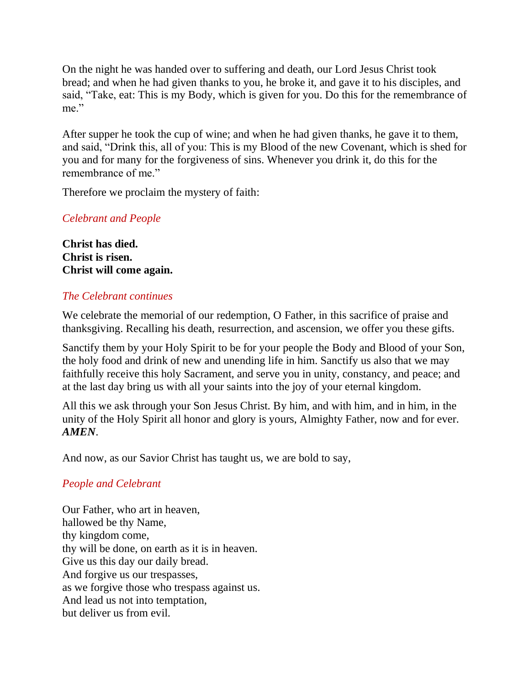On the night he was handed over to suffering and death, our Lord Jesus Christ took bread; and when he had given thanks to you, he broke it, and gave it to his disciples, and said, "Take, eat: This is my Body, which is given for you. Do this for the remembrance of me."

After supper he took the cup of wine; and when he had given thanks, he gave it to them, and said, "Drink this, all of you: This is my Blood of the new Covenant, which is shed for you and for many for the forgiveness of sins. Whenever you drink it, do this for the remembrance of me."

Therefore we proclaim the mystery of faith:

# *Celebrant and People*

**Christ has died. Christ is risen. Christ will come again.**

## *The Celebrant continues*

We celebrate the memorial of our redemption, O Father, in this sacrifice of praise and thanksgiving. Recalling his death, resurrection, and ascension, we offer you these gifts.

Sanctify them by your Holy Spirit to be for your people the Body and Blood of your Son, the holy food and drink of new and unending life in him. Sanctify us also that we may faithfully receive this holy Sacrament, and serve you in unity, constancy, and peace; and at the last day bring us with all your saints into the joy of your eternal kingdom.

All this we ask through your Son Jesus Christ. By him, and with him, and in him, in the unity of the Holy Spirit all honor and glory is yours, Almighty Father, now and for ever. *AMEN*.

And now, as our Savior Christ has taught us, we are bold to say,

# *People and Celebrant*

Our Father, who art in heaven, hallowed be thy Name, thy kingdom come, thy will be done, on earth as it is in heaven. Give us this day our daily bread. And forgive us our trespasses, as we forgive those who trespass against us. And lead us not into temptation, but deliver us from evil.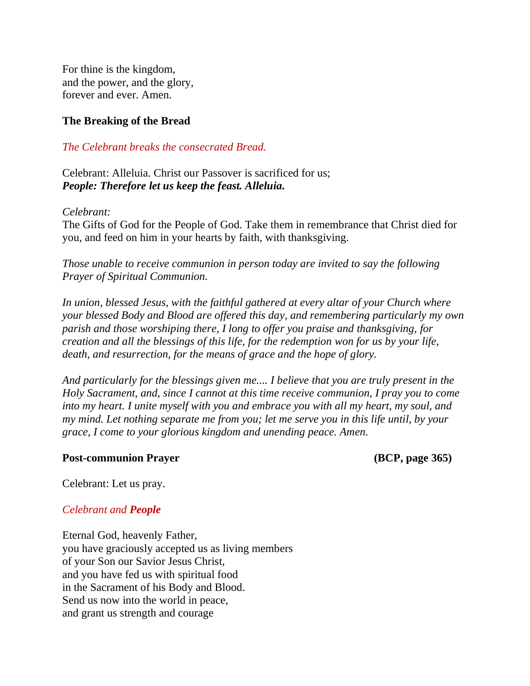For thine is the kingdom, and the power, and the glory, forever and ever. Amen.

## **The Breaking of the Bread**

*The Celebrant breaks the consecrated Bread.* 

Celebrant: Alleluia. Christ our Passover is sacrificed for us; *People: Therefore let us keep the feast. Alleluia.*

#### *Celebrant:*

The Gifts of God for the People of God. Take them in remembrance that Christ died for you, and feed on him in your hearts by faith, with thanksgiving.

*Those unable to receive communion in person today are invited to say the following Prayer of Spiritual Communion.*

*In union, blessed Jesus, with the faithful gathered at every altar of your Church where your blessed Body and Blood are offered this day, and remembering particularly my own parish and those worshiping there, I long to offer you praise and thanksgiving, for creation and all the blessings of this life, for the redemption won for us by your life, death, and resurrection, for the means of grace and the hope of glory.*

*And particularly for the blessings given me.... I believe that you are truly present in the Holy Sacrament, and, since I cannot at this time receive communion, I pray you to come into my heart. I unite myself with you and embrace you with all my heart, my soul, and my mind. Let nothing separate me from you; let me serve you in this life until, by your grace, I come to your glorious kingdom and unending peace. Amen.*

#### **Post-communion Prayer (BCP, page 365)**

Celebrant: Let us pray.

## *Celebrant and People*

Eternal God, heavenly Father, you have graciously accepted us as living members of your Son our Savior Jesus Christ, and you have fed us with spiritual food in the Sacrament of his Body and Blood. Send us now into the world in peace, and grant us strength and courage